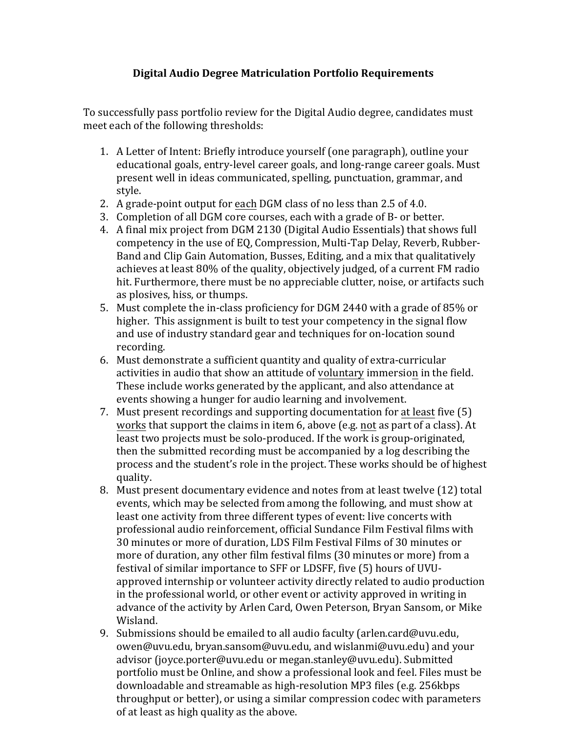## **Digital Audio Degree Matriculation Portfolio Requirements**

To successfully pass portfolio review for the Digital Audio degree, candidates must meet each of the following thresholds:

- 1. A Letter of Intent: Briefly introduce yourself (one paragraph), outline your educational goals, entry-level career goals, and long-range career goals. Must present well in ideas communicated, spelling, punctuation, grammar, and style.
- 2. A grade-point output for each DGM class of no less than 2.5 of 4.0.
- 3. Completion of all DGM core courses, each with a grade of B- or better.
- 4. A final mix project from DGM 2130 (Digital Audio Essentials) that shows full competency in the use of EQ, Compression, Multi-Tap Delay, Reverb, Rubber-Band and Clip Gain Automation, Busses, Editing, and a mix that qualitatively achieves at least 80% of the quality, objectively judged, of a current FM radio hit. Furthermore, there must be no appreciable clutter, noise, or artifacts such as plosives, hiss, or thumps.
- 5. Must complete the in-class proficiency for DGM 2440 with a grade of 85% or higher. This assignment is built to test your competency in the signal flow and use of industry standard gear and techniques for on-location sound recording.
- 6. Must demonstrate a sufficient quantity and quality of extra-curricular activities in audio that show an attitude of voluntary immersion in the field. These include works generated by the applicant, and also attendance at events showing a hunger for audio learning and involvement.
- 7. Must present recordings and supporting documentation for at least five (5) works that support the claims in item 6, above (e.g. not as part of a class). At least two projects must be solo-produced. If the work is group-originated, then the submitted recording must be accompanied by a log describing the process and the student's role in the project. These works should be of highest quality.
- 8. Must present documentary evidence and notes from at least twelve (12) total events, which may be selected from among the following, and must show at least one activity from three different types of event: live concerts with professional audio reinforcement, official Sundance Film Festival films with 30 minutes or more of duration, LDS Film Festival Films of 30 minutes or more of duration, any other film festival films (30 minutes or more) from a festival of similar importance to SFF or LDSFF, five (5) hours of UVUapproved internship or volunteer activity directly related to audio production in the professional world, or other event or activity approved in writing in advance of the activity by Arlen Card, Owen Peterson, Bryan Sansom, or Mike Wisland.
- 9. Submissions should be emailed to all audio faculty (arlen.card@uvu.edu, owen@uvu.edu, bryan.sansom@uvu.edu, and wislanmi@uvu.edu) and your advisor (joyce.porter@uvu.edu or megan.stanley@uvu.edu). Submitted portfolio must be Online, and show a professional look and feel. Files must be downloadable and streamable as high-resolution MP3 files (e.g. 256kbps throughput or better), or using a similar compression codec with parameters of at least as high quality as the above.